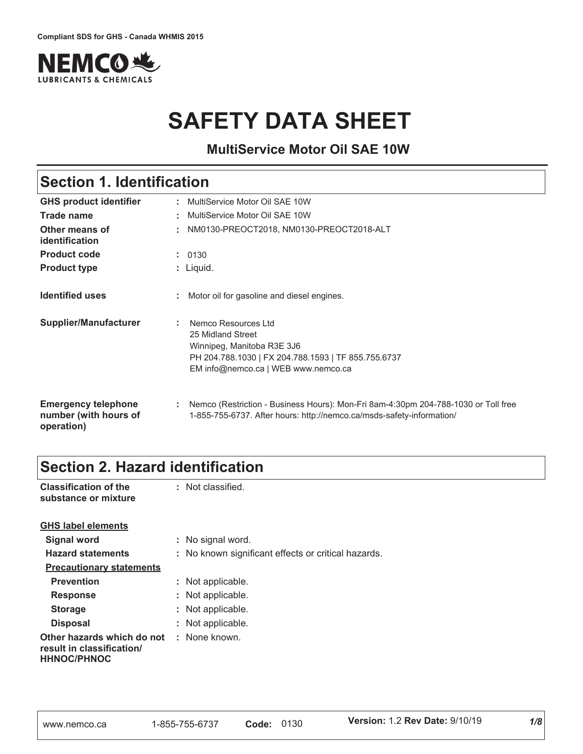

# **SAFETY DATA SHEET**

**MultiService Motor Oil SAE 10W**

## **Section 1. Identification**

| <b>GHS product identifier</b>                                     | : MultiService Motor Oil SAE 10W                                                                                                                                     |
|-------------------------------------------------------------------|----------------------------------------------------------------------------------------------------------------------------------------------------------------------|
| Trade name                                                        | MultiService Motor Oil SAE 10W                                                                                                                                       |
| Other means of<br>identification                                  | NM0130-PREOCT2018, NM0130-PREOCT2018-ALT                                                                                                                             |
| <b>Product code</b>                                               | : 0130                                                                                                                                                               |
| <b>Product type</b>                                               | : Liquid.                                                                                                                                                            |
| <b>Identified uses</b>                                            | Motor oil for gasoline and diesel engines.                                                                                                                           |
| Supplier/Manufacturer                                             | Nemco Resources Ltd<br>25 Midland Street<br>Winnipeg, Manitoba R3E 3J6<br>PH 204.788.1030   FX 204.788.1593   TF 855.755.6737<br>EM info@nemco.ca   WEB www.nemco.ca |
| <b>Emergency telephone</b><br>number (with hours of<br>operation) | Nemco (Restriction - Business Hours): Mon-Fri 8am-4:30pm 204-788-1030 or Toll free<br>1-855-755-6737. After hours: http://nemco.ca/msds-safety-information/          |

## **Section 2. Hazard identification**

| <b>Classification of the</b><br>substance or mixture                          | : Not classified.                                   |
|-------------------------------------------------------------------------------|-----------------------------------------------------|
| <b>GHS label elements</b>                                                     |                                                     |
| <b>Signal word</b>                                                            | : No signal word.                                   |
| <b>Hazard statements</b>                                                      | : No known significant effects or critical hazards. |
| <b>Precautionary statements</b>                                               |                                                     |
| <b>Prevention</b>                                                             | : Not applicable.                                   |
| <b>Response</b>                                                               | : Not applicable.                                   |
| <b>Storage</b>                                                                | : Not applicable.                                   |
| <b>Disposal</b>                                                               | : Not applicable.                                   |
| Other hazards which do not<br>result in classification/<br><b>HHNOC/PHNOC</b> | : None known.                                       |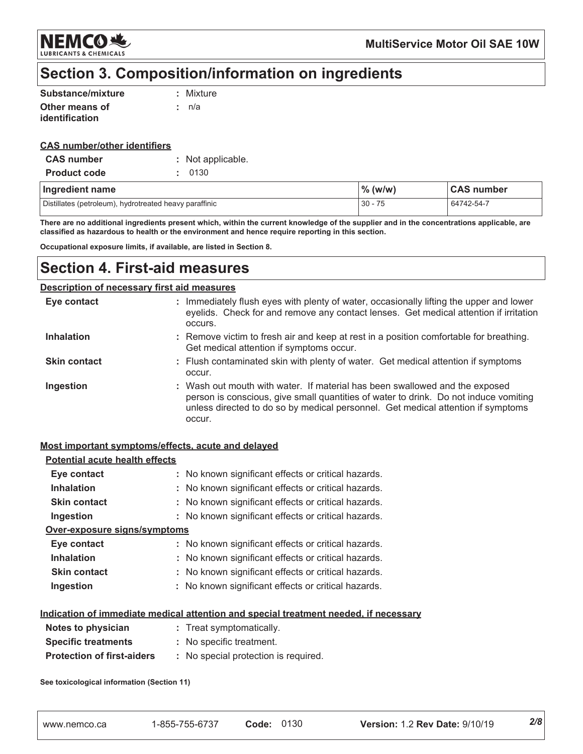NEMCO \* **LUBRICANTS & CHEMICALS** 

### Section 3. Composition/information on ingredients

| Substance/mixture     | : Mixture |
|-----------------------|-----------|
| Other means of        | : n/a     |
| <i>identification</i> |           |

#### **CAS number/other identifiers**

| <b>CAS number</b>   | : Not applicable. |
|---------------------|-------------------|
| <b>Product code</b> | : 0130            |

| Ingredient name                                        | $\%$ (w/w) | <b>CAS number</b> |
|--------------------------------------------------------|------------|-------------------|
| Distillates (petroleum), hydrotreated heavy paraffinic | $30 - 75$  | 64742-54-7        |

There are no additional ingredients present which, within the current knowledge of the supplier and in the concentrations applicable, are classified as hazardous to health or the environment and hence require reporting in this section.

Occupational exposure limits, if available, are listed in Section 8.

### **Section 4. First-aid measures**

#### **Description of necessary first aid measures**

| Eye contact         | : Immediately flush eyes with plenty of water, occasionally lifting the upper and lower<br>eyelids. Check for and remove any contact lenses. Get medical attention if irritation<br>occurs.                                                                       |
|---------------------|-------------------------------------------------------------------------------------------------------------------------------------------------------------------------------------------------------------------------------------------------------------------|
| <b>Inhalation</b>   | : Remove victim to fresh air and keep at rest in a position comfortable for breathing.<br>Get medical attention if symptoms occur.                                                                                                                                |
| <b>Skin contact</b> | : Flush contaminated skin with plenty of water. Get medical attention if symptoms<br>occur.                                                                                                                                                                       |
| Ingestion           | : Wash out mouth with water. If material has been swallowed and the exposed<br>person is conscious, give small quantities of water to drink. Do not induce vomiting<br>unless directed to do so by medical personnel. Get medical attention if symptoms<br>occur. |

#### Most important symptoms/effects, acute and delayed

| <b>Potential acute health effects</b>                                                       |                                                     |  |  |
|---------------------------------------------------------------------------------------------|-----------------------------------------------------|--|--|
| Eye contact                                                                                 | : No known significant effects or critical hazards. |  |  |
| <b>Inhalation</b>                                                                           | : No known significant effects or critical hazards. |  |  |
| <b>Skin contact</b>                                                                         | : No known significant effects or critical hazards. |  |  |
| Ingestion                                                                                   | : No known significant effects or critical hazards. |  |  |
| Over-exposure signs/symptoms                                                                |                                                     |  |  |
| Eye contact                                                                                 | : No known significant effects or critical hazards. |  |  |
| <b>Inhalation</b>                                                                           | : No known significant effects or critical hazards. |  |  |
| <b>Skin contact</b>                                                                         | : No known significant effects or critical hazards. |  |  |
| Ingestion                                                                                   | : No known significant effects or critical hazards. |  |  |
| <u>Indication of immediate medical attention and special treatment needed, if necessary</u> |                                                     |  |  |
| Notes to physician                                                                          | : Treat symptomatically.                            |  |  |
| <b>Specific treatments</b>                                                                  | : No specific treatment.                            |  |  |

| <b>Protection of first-aiders</b> | No special protection is required. |
|-----------------------------------|------------------------------------|
|                                   |                                    |

See toxicological information (Section 11)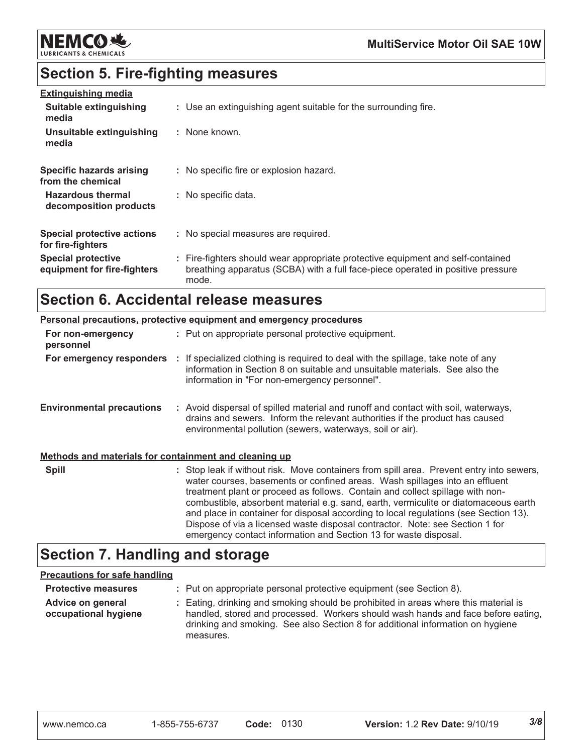

## **Section 5. Fire-fighting measures**

| <b>Extinguishing media</b>                               |                                                                                                                                                                             |
|----------------------------------------------------------|-----------------------------------------------------------------------------------------------------------------------------------------------------------------------------|
| Suitable extinguishing<br>media                          | : Use an extinguishing agent suitable for the surrounding fire.                                                                                                             |
| Unsuitable extinguishing<br>media                        | : None known.                                                                                                                                                               |
| Specific hazards arising<br>from the chemical            | : No specific fire or explosion hazard.                                                                                                                                     |
| <b>Hazardous thermal</b><br>decomposition products       | : No specific data.                                                                                                                                                         |
| Special protective actions<br>for fire-fighters          | : No special measures are required.                                                                                                                                         |
| <b>Special protective</b><br>equipment for fire-fighters | : Fire-fighters should wear appropriate protective equipment and self-contained<br>breathing apparatus (SCBA) with a full face-piece operated in positive pressure<br>mode. |

## **Section 6. Accidental release measures**

| <b>Personal precautions, protective equipment and emergency procedures</b> |  |                                                                                                                                                                                                                                                                                                                                                                                                                                                                                                                                                                                             |  |
|----------------------------------------------------------------------------|--|---------------------------------------------------------------------------------------------------------------------------------------------------------------------------------------------------------------------------------------------------------------------------------------------------------------------------------------------------------------------------------------------------------------------------------------------------------------------------------------------------------------------------------------------------------------------------------------------|--|
| For non-emergency<br>personnel                                             |  | : Put on appropriate personal protective equipment.                                                                                                                                                                                                                                                                                                                                                                                                                                                                                                                                         |  |
|                                                                            |  | For emergency responders : If specialized clothing is required to deal with the spillage, take note of any<br>information in Section 8 on suitable and unsuitable materials. See also the<br>information in "For non-emergency personnel".                                                                                                                                                                                                                                                                                                                                                  |  |
| <b>Environmental precautions</b>                                           |  | : Avoid dispersal of spilled material and runoff and contact with soil, waterways,<br>drains and sewers. Inform the relevant authorities if the product has caused<br>environmental pollution (sewers, waterways, soil or air).                                                                                                                                                                                                                                                                                                                                                             |  |
| Methods and materials for containment and cleaning up                      |  |                                                                                                                                                                                                                                                                                                                                                                                                                                                                                                                                                                                             |  |
| <b>Spill</b>                                                               |  | : Stop leak if without risk. Move containers from spill area. Prevent entry into sewers,<br>water courses, basements or confined areas. Wash spillages into an effluent<br>treatment plant or proceed as follows. Contain and collect spillage with non-<br>combustible, absorbent material e.g. sand, earth, vermiculite or diatomaceous earth<br>and place in container for disposal according to local regulations (see Section 13).<br>Dispose of via a licensed waste disposal contractor. Note: see Section 1 for<br>emergency contact information and Section 13 for waste disposal. |  |

## **Section 7. Handling and storage**

#### **Precautions for safe handling**

| <b>Protective measures</b>                | : Put on appropriate personal protective equipment (see Section 8).                                                                                                                                                                                                    |
|-------------------------------------------|------------------------------------------------------------------------------------------------------------------------------------------------------------------------------------------------------------------------------------------------------------------------|
| Advice on general<br>occupational hygiene | : Eating, drinking and smoking should be prohibited in areas where this material is<br>handled, stored and processed. Workers should wash hands and face before eating,<br>drinking and smoking. See also Section 8 for additional information on hygiene<br>measures. |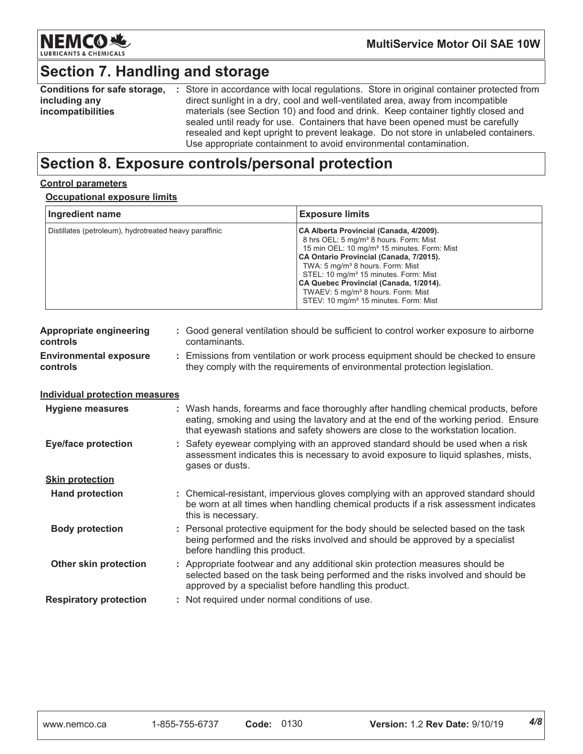

# Section 7. Handling and storage

| Conditions for safe storage, | : Store in accordance with local regulations. Store in original container protected from |
|------------------------------|------------------------------------------------------------------------------------------|
| including any                | direct sunlight in a dry, cool and well-ventilated area, away from incompatible          |
| incompatibilities            | materials (see Section 10) and food and drink. Keep container tightly closed and         |
|                              | sealed until ready for use. Containers that have been opened must be carefully           |
|                              | resealed and kept upright to prevent leakage. Do not store in unlabeled containers.      |
|                              | Use appropriate containment to avoid environmental contamination.                        |

## Section 8. Exposure controls/personal protection

#### **Control parameters**

#### **Occupational exposure limits**

| Ingredient name<br>Distillates (petroleum), hydrotreated heavy paraffinic |                                                                                                                                                                                                                                                               | <b>Exposure limits</b><br>CA Alberta Provincial (Canada, 4/2009).<br>8 hrs OEL: 5 mg/m <sup>3</sup> 8 hours. Form: Mist<br>15 min OEL: 10 mg/m <sup>3</sup> 15 minutes. Form: Mist<br>CA Ontario Provincial (Canada, 7/2015).<br>TWA: 5 mg/m <sup>3</sup> 8 hours. Form: Mist<br>STEL: 10 mg/m <sup>3</sup> 15 minutes. Form: Mist<br>CA Quebec Provincial (Canada, 1/2014).<br>TWAEV: 5 mg/m <sup>3</sup> 8 hours. Form: Mist<br>STEV: 10 mg/m <sup>3</sup> 15 minutes. Form: Mist |  |                                            |
|---------------------------------------------------------------------------|---------------------------------------------------------------------------------------------------------------------------------------------------------------------------------------------------------------------------------------------------------------|-------------------------------------------------------------------------------------------------------------------------------------------------------------------------------------------------------------------------------------------------------------------------------------------------------------------------------------------------------------------------------------------------------------------------------------------------------------------------------------|--|--------------------------------------------|
|                                                                           |                                                                                                                                                                                                                                                               |                                                                                                                                                                                                                                                                                                                                                                                                                                                                                     |  | <b>Appropriate engineering</b><br>controls |
| <b>Environmental exposure</b><br>controls                                 |                                                                                                                                                                                                                                                               | : Emissions from ventilation or work process equipment should be checked to ensure<br>they comply with the requirements of environmental protection legislation.                                                                                                                                                                                                                                                                                                                    |  |                                            |
| <b>Individual protection measures</b>                                     |                                                                                                                                                                                                                                                               |                                                                                                                                                                                                                                                                                                                                                                                                                                                                                     |  |                                            |
| <b>Hygiene measures</b>                                                   | : Wash hands, forearms and face thoroughly after handling chemical products, before<br>eating, smoking and using the lavatory and at the end of the working period. Ensure<br>that eyewash stations and safety showers are close to the workstation location. |                                                                                                                                                                                                                                                                                                                                                                                                                                                                                     |  |                                            |
| <b>Eye/face protection</b>                                                | gases or dusts.                                                                                                                                                                                                                                               | Safety eyewear complying with an approved standard should be used when a risk<br>assessment indicates this is necessary to avoid exposure to liquid splashes, mists,                                                                                                                                                                                                                                                                                                                |  |                                            |
| <b>Skin protection</b>                                                    |                                                                                                                                                                                                                                                               |                                                                                                                                                                                                                                                                                                                                                                                                                                                                                     |  |                                            |
| <b>Hand protection</b>                                                    | this is necessary.                                                                                                                                                                                                                                            | : Chemical-resistant, impervious gloves complying with an approved standard should<br>be worn at all times when handling chemical products if a risk assessment indicates                                                                                                                                                                                                                                                                                                           |  |                                            |
| <b>Body protection</b>                                                    |                                                                                                                                                                                                                                                               | Personal protective equipment for the body should be selected based on the task<br>being performed and the risks involved and should be approved by a specialist<br>before handling this product.                                                                                                                                                                                                                                                                                   |  |                                            |
| Other skin protection                                                     |                                                                                                                                                                                                                                                               | : Appropriate footwear and any additional skin protection measures should be<br>selected based on the task being performed and the risks involved and should be<br>approved by a specialist before handling this product.                                                                                                                                                                                                                                                           |  |                                            |
| <b>Respiratory protection</b>                                             |                                                                                                                                                                                                                                                               | : Not required under normal conditions of use.                                                                                                                                                                                                                                                                                                                                                                                                                                      |  |                                            |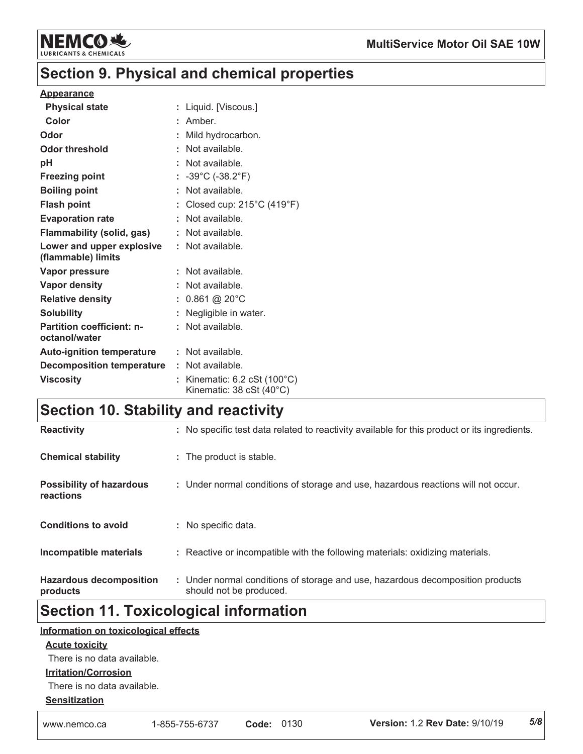

## **Section 9. Physical and chemical properties**

#### **Appearance**

| <b>Physical state</b>                             |    | : Liquid. [Viscous.]                                                |
|---------------------------------------------------|----|---------------------------------------------------------------------|
| Color                                             |    | : Amber.                                                            |
| Odor                                              |    | : Mild hydrocarbon.                                                 |
| Odor threshold                                    |    | Not available.                                                      |
| рH                                                |    | Not available.                                                      |
| <b>Freezing point</b>                             |    | : $-39^{\circ}$ C ( $-38.2^{\circ}$ F)                              |
| <b>Boiling point</b>                              |    | Not available.                                                      |
| <b>Flash point</b>                                |    | Closed cup: 215°C (419°F)                                           |
| <b>Evaporation rate</b>                           |    | Not available.                                                      |
| <b>Flammability (solid, gas)</b>                  |    | : Not available.                                                    |
| Lower and upper explosive<br>(flammable) limits   |    | : Not available.                                                    |
| Vapor pressure                                    |    | Not available.                                                      |
| <b>Vapor density</b>                              |    | : Not available.                                                    |
| <b>Relative density</b>                           | t. | $0.861 \circledR 20^{\circ}$ C                                      |
| <b>Solubility</b>                                 |    | Negligible in water.                                                |
| <b>Partition coefficient: n-</b><br>octanol/water |    | Not available.                                                      |
| <b>Auto-ignition temperature</b>                  |    | : Not available.                                                    |
| <b>Decomposition temperature : Not available.</b> |    |                                                                     |
| <b>Viscosity</b>                                  | ÷. | Kinematic: $6.2$ cSt (100 $^{\circ}$ C)<br>Kinematic: 38 cSt (40°C) |

## Section 10. Stability and reactivity

| <b>Reactivity</b>                            | : No specific test data related to reactivity available for this product or its ingredients.              |
|----------------------------------------------|-----------------------------------------------------------------------------------------------------------|
| <b>Chemical stability</b>                    | : The product is stable.                                                                                  |
| <b>Possibility of hazardous</b><br>reactions | : Under normal conditions of storage and use, hazardous reactions will not occur.                         |
| <b>Conditions to avoid</b>                   | : No specific data.                                                                                       |
| Incompatible materials                       | : Reactive or incompatible with the following materials: oxidizing materials.                             |
| <b>Hazardous decomposition</b><br>products   | : Under normal conditions of storage and use, hazardous decomposition products<br>should not be produced. |

## **Section 11. Toxicological information**

#### Information on toxicological effects

#### **Acute toxicity**

There is no data available.

#### **Irritation/Corrosion**

There is no data available.

#### **Sensitization**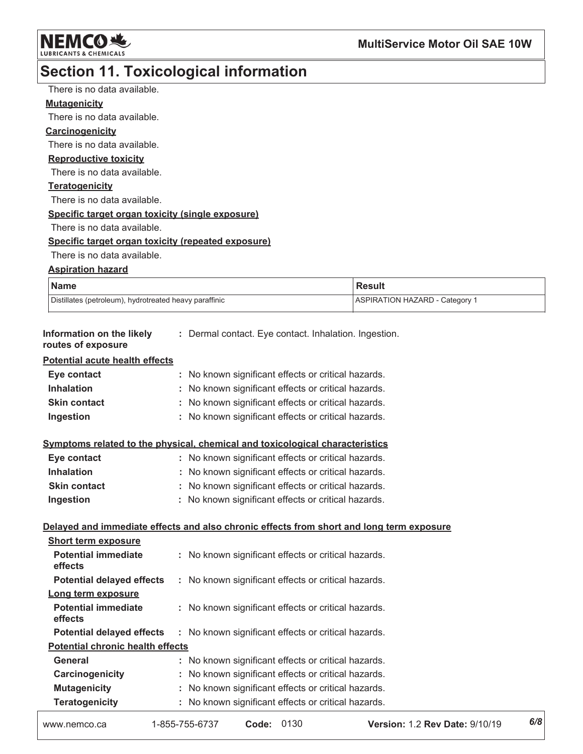**NEMCO头** LUBRICANTS & CHEMICALS

# Section 11. Toxicological information

| There is no data available.                            |                                                                              |                                                                                          |
|--------------------------------------------------------|------------------------------------------------------------------------------|------------------------------------------------------------------------------------------|
| <b>Mutagenicity</b>                                    |                                                                              |                                                                                          |
| There is no data available.                            |                                                                              |                                                                                          |
| <b>Carcinogenicity</b>                                 |                                                                              |                                                                                          |
| There is no data available.                            |                                                                              |                                                                                          |
| <b>Reproductive toxicity</b>                           |                                                                              |                                                                                          |
| There is no data available.                            |                                                                              |                                                                                          |
| <b>Teratogenicity</b>                                  |                                                                              |                                                                                          |
| There is no data available.                            |                                                                              |                                                                                          |
| Specific target organ toxicity (single exposure)       |                                                                              |                                                                                          |
| There is no data available.                            |                                                                              |                                                                                          |
| Specific target organ toxicity (repeated exposure)     |                                                                              |                                                                                          |
| There is no data available.                            |                                                                              |                                                                                          |
| <b>Aspiration hazard</b>                               |                                                                              |                                                                                          |
| <b>Name</b>                                            |                                                                              | <b>Result</b>                                                                            |
| Distillates (petroleum), hydrotreated heavy paraffinic |                                                                              | <b>ASPIRATION HAZARD - Category 1</b>                                                    |
| Information on the likely<br>routes of exposure        | : Dermal contact. Eye contact. Inhalation. Ingestion.                        |                                                                                          |
| <b>Potential acute health effects</b>                  |                                                                              |                                                                                          |
| Eye contact                                            | : No known significant effects or critical hazards.                          |                                                                                          |
| <b>Inhalation</b>                                      | : No known significant effects or critical hazards.                          |                                                                                          |
| <b>Skin contact</b>                                    | : No known significant effects or critical hazards.                          |                                                                                          |
| Ingestion                                              | : No known significant effects or critical hazards.                          |                                                                                          |
|                                                        | Symptoms related to the physical, chemical and toxicological characteristics |                                                                                          |
| Eye contact                                            | : No known significant effects or critical hazards.                          |                                                                                          |
| <b>Inhalation</b>                                      | : No known significant effects or critical hazards.                          |                                                                                          |
| <b>Skin contact</b>                                    | : No known significant effects or critical hazards.                          |                                                                                          |
| Ingestion                                              | : No known significant effects or critical hazards.                          |                                                                                          |
|                                                        |                                                                              | Delayed and immediate effects and also chronic effects from short and long term exposure |
| <b>Short term exposure</b>                             |                                                                              |                                                                                          |
| <b>Potential immediate</b><br>effects                  | No known significant effects or critical hazards.                            |                                                                                          |
| <b>Potential delayed effects</b>                       | : No known significant effects or critical hazards.                          |                                                                                          |
| Long term exposure                                     |                                                                              |                                                                                          |
| <b>Potential immediate</b><br>effects                  | : No known significant effects or critical hazards.                          |                                                                                          |
| <b>Potential delayed effects</b>                       | No known significant effects or critical hazards.                            |                                                                                          |
| <b>Potential chronic health effects</b>                |                                                                              |                                                                                          |
| <b>General</b>                                         | No known significant effects or critical hazards.                            |                                                                                          |
| Carcinogenicity                                        | No known significant effects or critical hazards.                            |                                                                                          |
| <b>Mutagenicity</b>                                    | : No known significant effects or critical hazards.                          |                                                                                          |
| <b>Teratogenicity</b>                                  | : No known significant effects or critical hazards.                          |                                                                                          |

www.nemco.ca

Code: 0130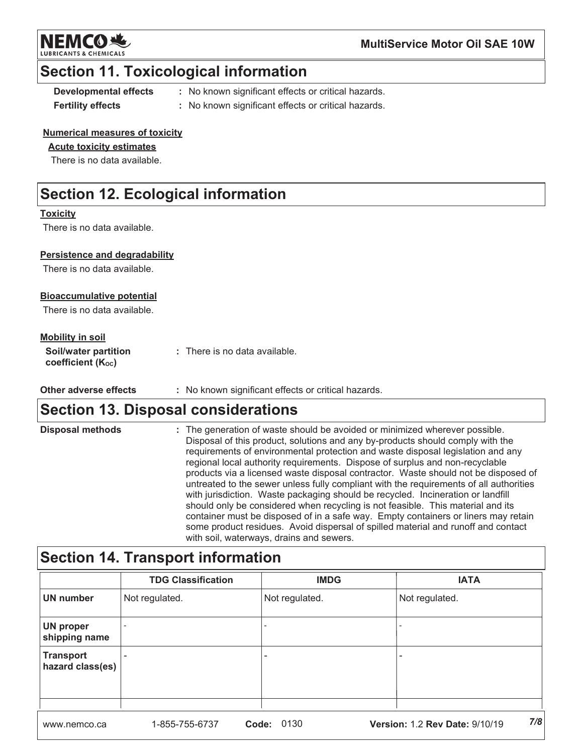

### **Section 11. Toxicological information**

**Developmental effects Fertility effects** 

- : No known significant effects or critical hazards.
- : No known significant effects or critical hazards.

#### **Numerical measures of toxicity**

#### **Acute toxicity estimates**

There is no data available.

## **Section 12. Ecological information**

#### **Toxicity**

There is no data available.

#### **Persistence and degradability**

There is no data available.

#### **Bioaccumulative potential**

There is no data available.

#### **Mobility in soil**

| <b>Soil/water partition</b> | : There is no data available. |
|-----------------------------|-------------------------------|
| coefficient $(K_{oc})$      |                               |

Other adverse effects : No known significant effects or critical hazards.

### **Section 13. Disposal considerations**

| <b>Disposal methods</b> | : The generation of waste should be avoided or minimized wherever possible.<br>Disposal of this product, solutions and any by-products should comply with the<br>requirements of environmental protection and waste disposal legislation and any<br>regional local authority requirements. Dispose of surplus and non-recyclable<br>products via a licensed waste disposal contractor. Waste should not be disposed of<br>untreated to the sewer unless fully compliant with the requirements of all authorities<br>with jurisdiction. Waste packaging should be recycled. Incineration or landfill<br>should only be considered when recycling is not feasible. This material and its<br>container must be disposed of in a safe way. Empty containers or liners may retain |
|-------------------------|------------------------------------------------------------------------------------------------------------------------------------------------------------------------------------------------------------------------------------------------------------------------------------------------------------------------------------------------------------------------------------------------------------------------------------------------------------------------------------------------------------------------------------------------------------------------------------------------------------------------------------------------------------------------------------------------------------------------------------------------------------------------------|
|                         | some product residues. Avoid dispersal of spilled material and runoff and contact<br>with soil, waterways, drains and sewers.                                                                                                                                                                                                                                                                                                                                                                                                                                                                                                                                                                                                                                                |

## Section 14. Transport information

|                                      | <b>TDG Classification</b> | <b>IMDG</b>              | <b>IATA</b>                           |
|--------------------------------------|---------------------------|--------------------------|---------------------------------------|
| <b>UN number</b>                     | Not regulated.            | Not regulated.           | Not regulated.                        |
| <b>UN proper</b><br>shipping name    | $\overline{\phantom{a}}$  | $\overline{\phantom{a}}$ |                                       |
| <b>Transport</b><br>hazard class(es) | $\overline{\phantom{a}}$  | $\qquad \qquad$          |                                       |
|                                      |                           |                          |                                       |
| www.nemco.ca                         | Code:<br>1-855-755-6737   | 0130                     | 7/8<br>Version: 1.2 Rev Date: 9/10/19 |